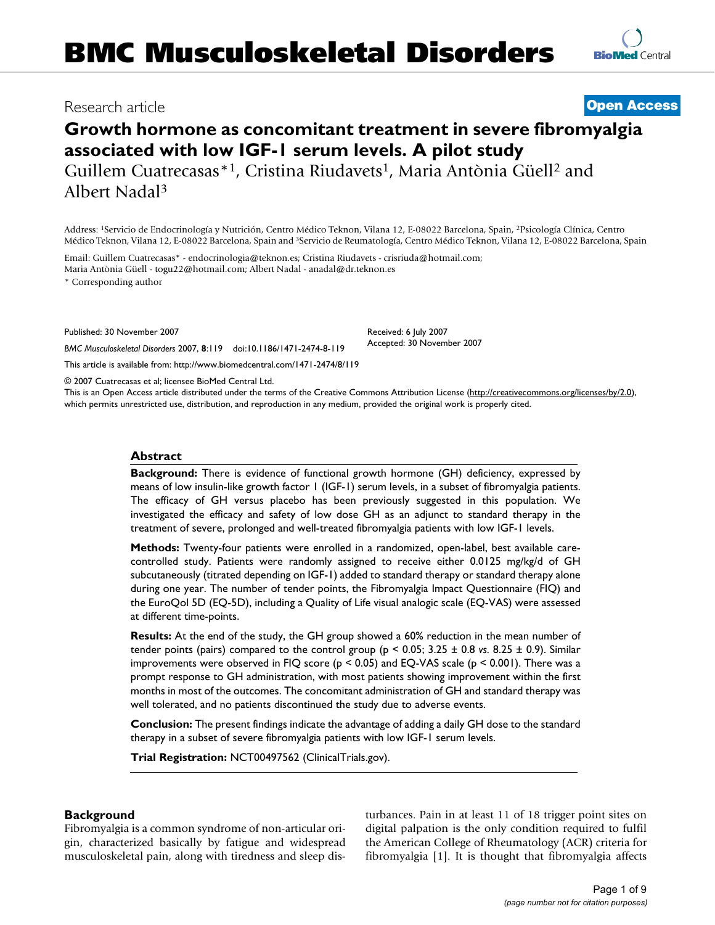## Research article **[Open Access](http://www.biomedcentral.com/info/about/charter/)**

# **Growth hormone as concomitant treatment in severe fibromyalgia associated with low IGF-1 serum levels. A pilot study** Guillem Cuatrecasas\*<sup>1</sup>, Cristina Riudavets<sup>1</sup>, Maria Antònia Güell<sup>2</sup> and

Albert Nadal3

Address: 1Servicio de Endocrinología y Nutrición, Centro Médico Teknon, Vilana 12, E-08022 Barcelona, Spain, 2Psicología Clínica, Centro Médico Teknon, Vilana 12, E-08022 Barcelona, Spain and 3Servicio de Reumatología, Centro Médico Teknon, Vilana 12, E-08022 Barcelona, Spain

Email: Guillem Cuatrecasas\* - endocrinologia@teknon.es; Cristina Riudavets - crisriuda@hotmail.com; Maria Antònia Güell - togu22@hotmail.com; Albert Nadal - anadal@dr.teknon.es

\* Corresponding author

Published: 30 November 2007

*BMC Musculoskeletal Disorders* 2007, **8**:119 doi:10.1186/1471-2474-8-119

[This article is available from: http://www.biomedcentral.com/1471-2474/8/119](http://www.biomedcentral.com/1471-2474/8/119)

© 2007 Cuatrecasas et al; licensee BioMed Central Ltd.

This is an Open Access article distributed under the terms of the Creative Commons Attribution License [\(http://creativecommons.org/licenses/by/2.0\)](http://creativecommons.org/licenses/by/2.0), which permits unrestricted use, distribution, and reproduction in any medium, provided the original work is properly cited.

## **Abstract**

**Background:** There is evidence of functional growth hormone (GH) deficiency, expressed by means of low insulin-like growth factor 1 (IGF-1) serum levels, in a subset of fibromyalgia patients. The efficacy of GH versus placebo has been previously suggested in this population. We investigated the efficacy and safety of low dose GH as an adjunct to standard therapy in the treatment of severe, prolonged and well-treated fibromyalgia patients with low IGF-1 levels.

**Methods:** Twenty-four patients were enrolled in a randomized, open-label, best available carecontrolled study. Patients were randomly assigned to receive either 0.0125 mg/kg/d of GH subcutaneously (titrated depending on IGF-1) added to standard therapy or standard therapy alone during one year. The number of tender points, the Fibromyalgia Impact Questionnaire (FIQ) and the EuroQol 5D (EQ-5D), including a Quality of Life visual analogic scale (EQ-VAS) were assessed at different time-points.

**Results:** At the end of the study, the GH group showed a 60% reduction in the mean number of tender points (pairs) compared to the control group (p < 0.05; 3.25 ± 0.8 *vs*. 8.25 ± 0.9). Similar improvements were observed in FIQ score ( $p < 0.05$ ) and EQ-VAS scale ( $p < 0.001$ ). There was a prompt response to GH administration, with most patients showing improvement within the first months in most of the outcomes. The concomitant administration of GH and standard therapy was well tolerated, and no patients discontinued the study due to adverse events.

**Conclusion:** The present findings indicate the advantage of adding a daily GH dose to the standard therapy in a subset of severe fibromyalgia patients with low IGF-1 serum levels.

**Trial Registration:** NCT00497562 (ClinicalTrials.gov).

## **Background**

Fibromyalgia is a common syndrome of non-articular origin, characterized basically by fatigue and widespread musculoskeletal pain, along with tiredness and sleep disturbances. Pain in at least 11 of 18 trigger point sites on digital palpation is the only condition required to fulfil the American College of Rheumatology (ACR) criteria for fibromyalgia [1]. It is thought that fibromyalgia affects

Received: 6 July 2007 Accepted: 30 November 2007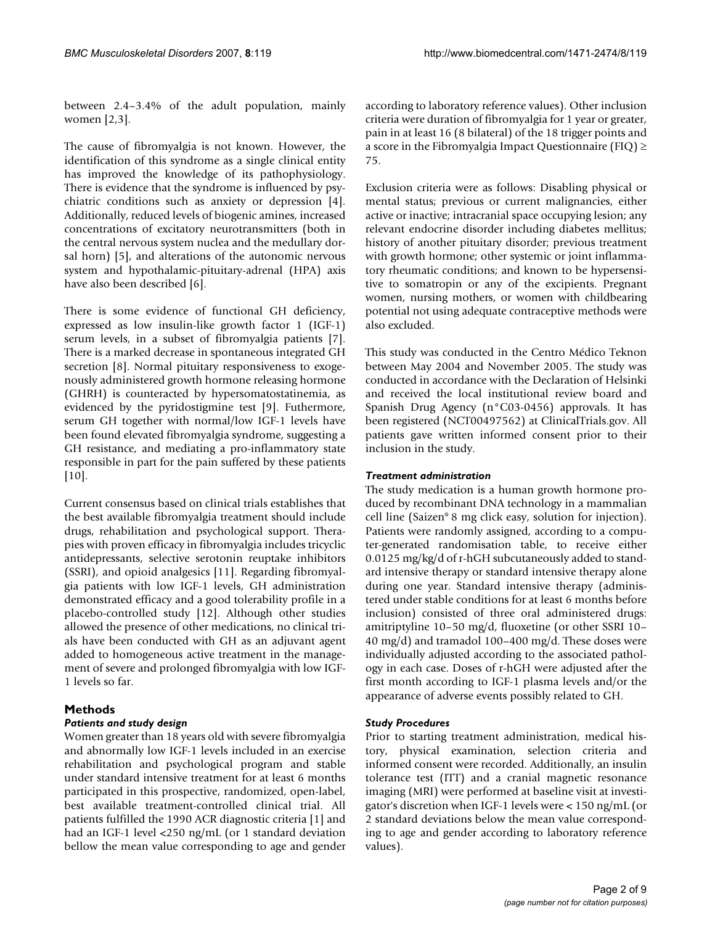between 2.4–3.4% of the adult population, mainly women [2,3].

The cause of fibromyalgia is not known. However, the identification of this syndrome as a single clinical entity has improved the knowledge of its pathophysiology. There is evidence that the syndrome is influenced by psychiatric conditions such as anxiety or depression [4]. Additionally, reduced levels of biogenic amines, increased concentrations of excitatory neurotransmitters (both in the central nervous system nuclea and the medullary dorsal horn) [5], and alterations of the autonomic nervous system and hypothalamic-pituitary-adrenal (HPA) axis have also been described [6].

There is some evidence of functional GH deficiency, expressed as low insulin-like growth factor 1 (IGF-1) serum levels, in a subset of fibromyalgia patients [7]. There is a marked decrease in spontaneous integrated GH secretion [8]. Normal pituitary responsiveness to exogenously administered growth hormone releasing hormone (GHRH) is counteracted by hypersomatostatinemia, as evidenced by the pyridostigmine test [9]. Futhermore, serum GH together with normal/low IGF-1 levels have been found elevated fibromyalgia syndrome, suggesting a GH resistance, and mediating a pro-inflammatory state responsible in part for the pain suffered by these patients [10].

Current consensus based on clinical trials establishes that the best available fibromyalgia treatment should include drugs, rehabilitation and psychological support. Therapies with proven efficacy in fibromyalgia includes tricyclic antidepressants, selective serotonin reuptake inhibitors (SSRI), and opioid analgesics [11]. Regarding fibromyalgia patients with low IGF-1 levels, GH administration demonstrated efficacy and a good tolerability profile in a placebo-controlled study [12]. Although other studies allowed the presence of other medications, no clinical trials have been conducted with GH as an adjuvant agent added to homogeneous active treatment in the management of severe and prolonged fibromyalgia with low IGF-1 levels so far.

## **Methods**

## *Patients and study design*

Women greater than 18 years old with severe fibromyalgia and abnormally low IGF-1 levels included in an exercise rehabilitation and psychological program and stable under standard intensive treatment for at least 6 months participated in this prospective, randomized, open-label, best available treatment-controlled clinical trial. All patients fulfilled the 1990 ACR diagnostic criteria [1] and had an IGF-1 level <250 ng/mL (or 1 standard deviation bellow the mean value corresponding to age and gender according to laboratory reference values). Other inclusion criteria were duration of fibromyalgia for 1 year or greater, pain in at least 16 (8 bilateral) of the 18 trigger points and a score in the Fibromyalgia Impact Questionnaire (FIQ)  $\geq$ 75.

Exclusion criteria were as follows: Disabling physical or mental status; previous or current malignancies, either active or inactive; intracranial space occupying lesion; any relevant endocrine disorder including diabetes mellitus; history of another pituitary disorder; previous treatment with growth hormone; other systemic or joint inflammatory rheumatic conditions; and known to be hypersensitive to somatropin or any of the excipients. Pregnant women, nursing mothers, or women with childbearing potential not using adequate contraceptive methods were also excluded.

This study was conducted in the Centro Médico Teknon between May 2004 and November 2005. The study was conducted in accordance with the Declaration of Helsinki and received the local institutional review board and Spanish Drug Agency (n°C03-0456) approvals. It has been registered (NCT00497562) at ClinicalTrials.gov. All patients gave written informed consent prior to their inclusion in the study.

## *Treatment administration*

The study medication is a human growth hormone produced by recombinant DNA technology in a mammalian cell line (Saizen® 8 mg click easy, solution for injection). Patients were randomly assigned, according to a computer-generated randomisation table, to receive either 0.0125 mg/kg/d of r-hGH subcutaneously added to standard intensive therapy or standard intensive therapy alone during one year. Standard intensive therapy (administered under stable conditions for at least 6 months before inclusion) consisted of three oral administered drugs: amitriptyline 10–50 mg/d, fluoxetine (or other SSRI 10– 40 mg/d) and tramadol 100–400 mg/d. These doses were individually adjusted according to the associated pathology in each case. Doses of r-hGH were adjusted after the first month according to IGF-1 plasma levels and/or the appearance of adverse events possibly related to GH.

## *Study Procedures*

Prior to starting treatment administration, medical history, physical examination, selection criteria and informed consent were recorded. Additionally, an insulin tolerance test (ITT) and a cranial magnetic resonance imaging (MRI) were performed at baseline visit at investigator's discretion when IGF-1 levels were < 150 ng/mL (or 2 standard deviations below the mean value corresponding to age and gender according to laboratory reference values).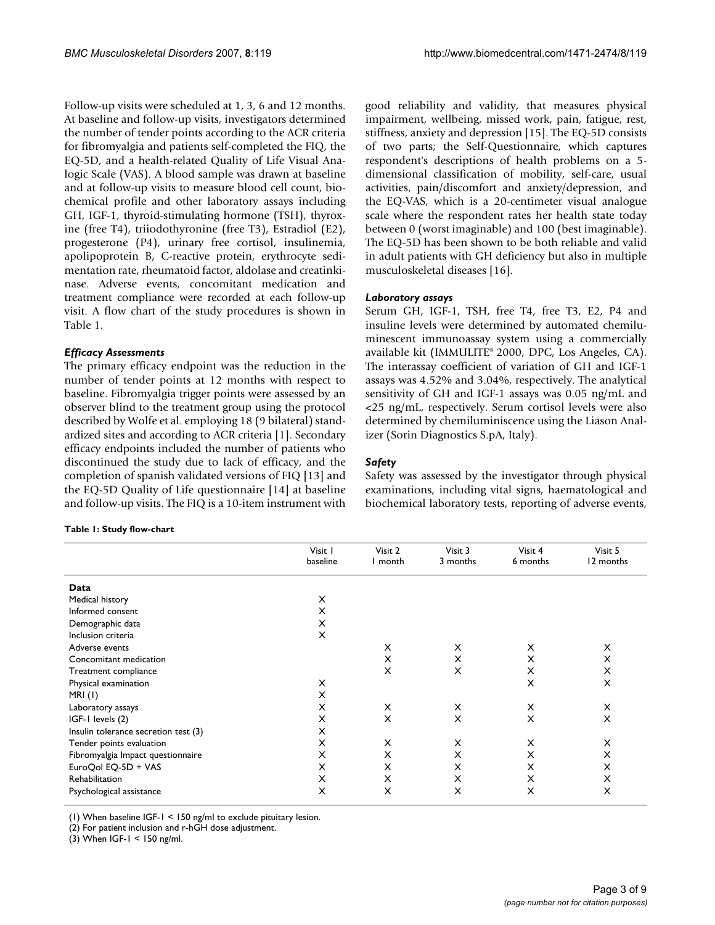Follow-up visits were scheduled at 1, 3, 6 and 12 months. At baseline and follow-up visits, investigators determined the number of tender points according to the ACR criteria for fibromyalgia and patients self-completed the FIQ, the EQ-5D, and a health-related Quality of Life Visual Analogic Scale (VAS). A blood sample was drawn at baseline and at follow-up visits to measure blood cell count, biochemical profile and other laboratory assays including GH, IGF-1, thyroid-stimulating hormone (TSH), thyroxine (free T4), triiodothyronine (free T3), Estradiol (E2), progesterone (P4), urinary free cortisol, insulinemia, apolipoprotein B, C-reactive protein, erythrocyte sedimentation rate, rheumatoid factor, aldolase and creatinkinase. Adverse events, concomitant medication and treatment compliance were recorded at each follow-up visit. A flow chart of the study procedures is shown in Table 1.

#### *Efficacy Assessments*

The primary efficacy endpoint was the reduction in the number of tender points at 12 months with respect to baseline. Fibromyalgia trigger points were assessed by an observer blind to the treatment group using the protocol described by Wolfe et al. employing 18 (9 bilateral) standardized sites and according to ACR criteria [1]. Secondary efficacy endpoints included the number of patients who discontinued the study due to lack of efficacy, and the completion of spanish validated versions of FIQ [13] and the EQ-5D Quality of Life questionnaire [14] at baseline and follow-up visits. The FIQ is a 10-item instrument with good reliability and validity, that measures physical impairment, wellbeing, missed work, pain, fatigue, rest, stiffness, anxiety and depression [15]. The EQ-5D consists of two parts; the Self-Questionnaire, which captures respondent's descriptions of health problems on a 5 dimensional classification of mobility, self-care, usual activities, pain/discomfort and anxiety/depression, and the EQ-VAS, which is a 20-centimeter visual analogue scale where the respondent rates her health state today between 0 (worst imaginable) and 100 (best imaginable). The EQ-5D has been shown to be both reliable and valid in adult patients with GH deficiency but also in multiple musculoskeletal diseases [16].

#### *Laboratory assays*

Serum GH, IGF-1, TSH, free T4, free T3, E2, P4 and insuline levels were determined by automated chemiluminescent immunoassay system using a commercially available kit (IMMULITE® 2000, DPC, Los Angeles, CA). The interassay coefficient of variation of GH and IGF-1 assays was 4.52% and 3.04%, respectively. The analytical sensitivity of GH and IGF-1 assays was 0.05 ng/mL and <25 ng/mL, respectively. Serum cortisol levels were also determined by chemiluminiscence using the Liason Analizer (Sorin Diagnostics S.pA, Italy).

#### *Safety*

Safety was assessed by the investigator through physical examinations, including vital signs, haematological and biochemical laboratory tests, reporting of adverse events,

#### **Table 1: Study flow-chart**

|                                      | Visit I<br>baseline | Visit 2<br>I month | Visit 3<br>3 months | Visit 4<br>6 months | Visit 5<br>12 months |
|--------------------------------------|---------------------|--------------------|---------------------|---------------------|----------------------|
| Data                                 |                     |                    |                     |                     |                      |
| Medical history                      | X                   |                    |                     |                     |                      |
| Informed consent                     | X                   |                    |                     |                     |                      |
| Demographic data                     | X                   |                    |                     |                     |                      |
| Inclusion criteria                   | X                   |                    |                     |                     |                      |
| Adverse events                       |                     | X                  | X                   | X                   | X                    |
| Concomitant medication               |                     | X                  | X                   | X                   | X                    |
| Treatment compliance                 |                     | X                  | X                   | X                   | X                    |
| Physical examination                 | X                   |                    |                     | X                   | X                    |
| MRI (I)                              | X                   |                    |                     |                     |                      |
| Laboratory assays                    | X                   | X                  | X                   | X                   | X                    |
| IGF-1 levels (2)                     | X                   | $\times$           | X                   | X                   | X                    |
| Insulin tolerance secretion test (3) | X                   |                    |                     |                     |                      |
| Tender points evaluation             | X                   | $\times$           | X                   | X                   | X                    |
| Fibromyalgia Impact questionnaire    | X                   | $\times$           | X                   | X                   | X                    |
| EuroQol EQ-5D + VAS                  | X                   | $\times$           | X                   | X                   | X                    |
| Rehabilitation                       | X                   | $\times$           | X                   | X                   | X                    |
| Psychological assistance             | X                   | X                  | X                   | X                   | X                    |

(1) When baseline IGF-1 < 150 ng/ml to exclude pituitary lesion.

(2) For patient inclusion and r-hGH dose adjustment.

(3) When IGF-1 < 150 ng/ml.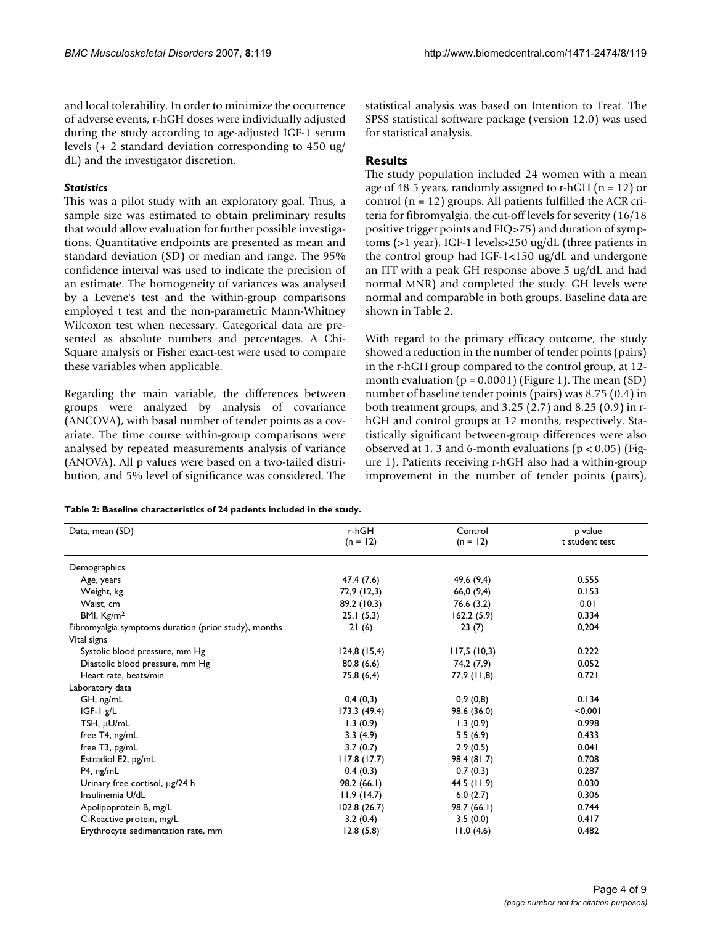and local tolerability. In order to minimize the occurrence of adverse events, r-hGH doses were individually adjusted during the study according to age-adjusted IGF-1 serum levels (+ 2 standard deviation corresponding to 450 ug/ dL) and the investigator discretion.

#### *Statistics*

This was a pilot study with an exploratory goal. Thus, a sample size was estimated to obtain preliminary results that would allow evaluation for further possible investigations. Quantitative endpoints are presented as mean and standard deviation (SD) or median and range. The 95% confidence interval was used to indicate the precision of an estimate. The homogeneity of variances was analysed by a Levene's test and the within-group comparisons employed t test and the non-parametric Mann-Whitney Wilcoxon test when necessary. Categorical data are presented as absolute numbers and percentages. A Chi-Square analysis or Fisher exact-test were used to compare these variables when applicable.

Regarding the main variable, the differences between groups were analyzed by analysis of covariance (ANCOVA), with basal number of tender points as a covariate. The time course within-group comparisons were analysed by repeated measurements analysis of variance (ANOVA). All p values were based on a two-tailed distribution, and 5% level of significance was considered. The statistical analysis was based on Intention to Treat. The SPSS statistical software package (version 12.0) was used for statistical analysis.

## **Results**

The study population included 24 women with a mean age of 48.5 years, randomly assigned to r-hGH ( $n = 12$ ) or control  $(n = 12)$  groups. All patients fulfilled the ACR criteria for fibromyalgia, the cut-off levels for severity (16/18 positive trigger points and FIQ>75) and duration of symptoms (>1 year), IGF-1 levels>250 ug/dL (three patients in the control group had IGF-1<150 ug/dL and undergone an ITT with a peak GH response above 5 ug/dL and had normal MNR) and completed the study. GH levels were normal and comparable in both groups. Baseline data are shown in Table 2.

With regard to the primary efficacy outcome, the study showed a reduction in the number of tender points (pairs) in the r-hGH group compared to the control group, at 12 month evaluation ( $p = 0.0001$ ) (Figure 1). The mean (SD) number of baseline tender points (pairs) was 8.75 (0.4) in both treatment groups, and 3.25 (2.7) and 8.25 (0.9) in rhGH and control groups at 12 months, respectively. Statistically significant between-group differences were also observed at 1, 3 and 6-month evaluations ( $p < 0.05$ ) (Figure 1). Patients receiving r-hGH also had a within-group improvement in the number of tender points (pairs),

**Table 2: Baseline characteristics of 24 patients included in the study.**

| Data, mean (SD)                                      | r-hGH       | Control       | p value        |  |
|------------------------------------------------------|-------------|---------------|----------------|--|
|                                                      | $(n = 12)$  | $(n = 12)$    | t student test |  |
| Demographics                                         |             |               |                |  |
| Age, years                                           | 47,4 (7,6)  | 49,6 (9,4)    | 0.555          |  |
| Weight, kg                                           | 72,9 (12,3) | 66,0 (9,4)    | 0.153          |  |
| Waist, cm                                            | 89.2 (10.3) | 76.6(3.2)     | 0.01           |  |
| BMI, $Kg/m2$                                         | 25,1(5,3)   | 162,2(5,9)    | 0.334          |  |
| Fibromyalgia symptoms duration (prior study), months | 21(6)       | 23(7)         | 0,204          |  |
| Vital signs                                          |             |               |                |  |
| Systolic blood pressure, mm Hg                       | 124,8(15,4) | 117,5(10,3)   | 0.222          |  |
| Diastolic blood pressure, mm Hg                      | 80,8(6,6)   | 74,2 (7,9)    | 0.052          |  |
| Heart rate, beats/min                                | 75,8 (6,4)  | 77,9(11,8)    | 0.721          |  |
| Laboratory data                                      |             |               |                |  |
| GH, ng/mL                                            | 0,4(0,3)    | 0,9(0,8)      | 0.134          |  |
| IGF-1 g/L                                            | 173.3(49.4) | 98.6 (36.0)   | < 0.001        |  |
| TSH, µU/mL                                           | 1.3(0.9)    | 1.3(0.9)      | 0.998          |  |
| free T4, ng/mL                                       | 3.3(4.9)    | 5.5(6.9)      | 0.433          |  |
| free T3, pg/mL                                       | 3.7(0.7)    | 2.9(0.5)      | 0.041          |  |
| Estradiol E2, pg/mL                                  | 117.8(17.7) | 98.4 (81.7)   | 0.708          |  |
| P4, ng/mL                                            | 0.4(0.3)    | 0.7(0.3)      | 0.287          |  |
| Urinary free cortisol, µg/24 h                       | 98.2(66.1)  | 44.5 $(11.9)$ | 0.030          |  |
| Insulinemia U/dL                                     | 11.9(14.7)  | 6.0(2.7)      | 0.306          |  |
| Apolipoprotein B, mg/L                               | 102.8(26.7) | 98.7 (66.1)   | 0.744          |  |
| C-Reactive protein, mg/L                             | 3.2(0.4)    | 3.5(0.0)      | 0.417          |  |
| Erythrocyte sedimentation rate, mm                   | 12.8(5.8)   | 11.0(4.6)     | 0.482          |  |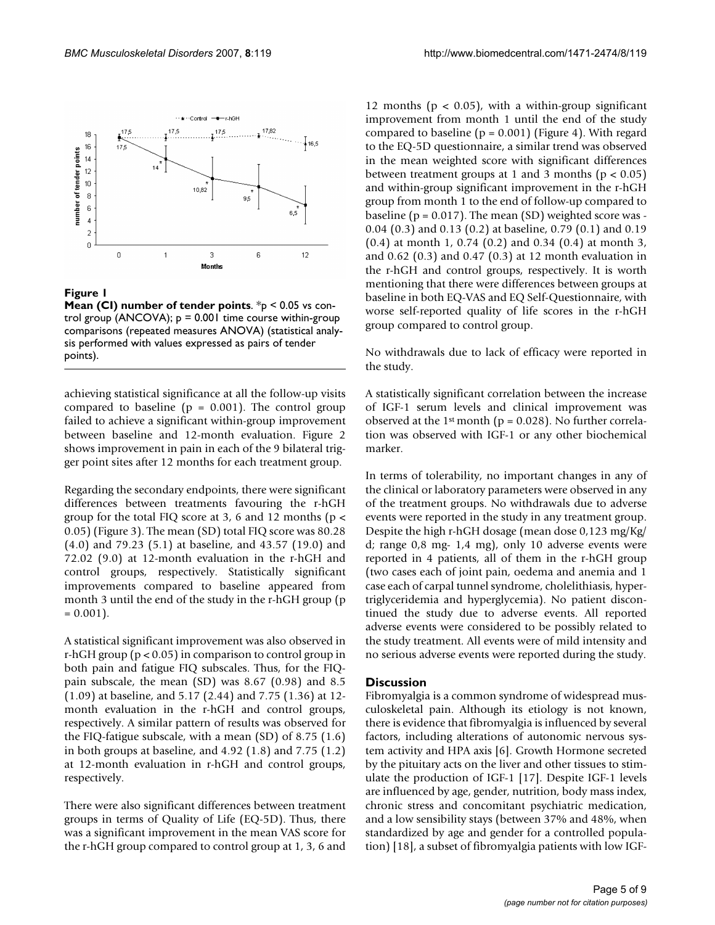

#### **Figure 1**

**Mean (CI) number of tender points.** \*p < 0.05 vs control group (ANCOVA);  $p = 0.001$  time course within-group comparisons (repeated measures ANOVA) (statistical analysis performed with values expressed as pairs of tender points).

achieving statistical significance at all the follow-up visits compared to baseline ( $p = 0.001$ ). The control group failed to achieve a significant within-group improvement between baseline and 12-month evaluation. Figure 2 shows improvement in pain in each of the 9 bilateral trigger point sites after 12 months for each treatment group.

Regarding the secondary endpoints, there were significant differences between treatments favouring the r-hGH group for the total FIQ score at 3, 6 and 12 months ( $p <$ 0.05) (Figure 3). The mean (SD) total FIQ score was 80.28 (4.0) and 79.23 (5.1) at baseline, and 43.57 (19.0) and 72.02 (9.0) at 12-month evaluation in the r-hGH and control groups, respectively. Statistically significant improvements compared to baseline appeared from month 3 until the end of the study in the r-hGH group (p  $= 0.001$ ).

A statistical significant improvement was also observed in r-hGH group ( $p < 0.05$ ) in comparison to control group in both pain and fatigue FIQ subscales. Thus, for the FIQpain subscale, the mean (SD) was 8.67 (0.98) and 8.5 (1.09) at baseline, and 5.17 (2.44) and 7.75 (1.36) at 12 month evaluation in the r-hGH and control groups, respectively. A similar pattern of results was observed for the FIQ-fatigue subscale, with a mean (SD) of 8.75 (1.6) in both groups at baseline, and 4.92 (1.8) and 7.75 (1.2) at 12-month evaluation in r-hGH and control groups, respectively.

There were also significant differences between treatment groups in terms of Quality of Life (EQ-5D). Thus, there was a significant improvement in the mean VAS score for the r-hGH group compared to control group at 1, 3, 6 and

12 months ( $p < 0.05$ ), with a within-group significant improvement from month 1 until the end of the study compared to baseline  $(p = 0.001)$  (Figure 4). With regard to the EQ-5D questionnaire, a similar trend was observed in the mean weighted score with significant differences between treatment groups at 1 and 3 months ( $p < 0.05$ ) and within-group significant improvement in the r-hGH group from month 1 to the end of follow-up compared to baseline ( $p = 0.017$ ). The mean (SD) weighted score was -0.04 (0.3) and 0.13 (0.2) at baseline, 0.79 (0.1) and 0.19 (0.4) at month 1, 0.74 (0.2) and 0.34 (0.4) at month 3, and 0.62 (0.3) and 0.47 (0.3) at 12 month evaluation in the r-hGH and control groups, respectively. It is worth mentioning that there were differences between groups at baseline in both EQ-VAS and EQ Self-Questionnaire, with worse self-reported quality of life scores in the r-hGH group compared to control group.

No withdrawals due to lack of efficacy were reported in the study.

A statistically significant correlation between the increase of IGF-1 serum levels and clinical improvement was observed at the 1<sup>st</sup> month ( $p = 0.028$ ). No further correlation was observed with IGF-1 or any other biochemical marker.

In terms of tolerability, no important changes in any of the clinical or laboratory parameters were observed in any of the treatment groups. No withdrawals due to adverse events were reported in the study in any treatment group. Despite the high r-hGH dosage (mean dose 0,123 mg/Kg/ d; range 0,8 mg- 1,4 mg), only 10 adverse events were reported in 4 patients, all of them in the r-hGH group (two cases each of joint pain, oedema and anemia and 1 case each of carpal tunnel syndrome, cholelithiasis, hypertriglyceridemia and hyperglycemia). No patient discontinued the study due to adverse events. All reported adverse events were considered to be possibly related to the study treatment. All events were of mild intensity and no serious adverse events were reported during the study.

## **Discussion**

Fibromyalgia is a common syndrome of widespread musculoskeletal pain. Although its etiology is not known, there is evidence that fibromyalgia is influenced by several factors, including alterations of autonomic nervous system activity and HPA axis [6]. Growth Hormone secreted by the pituitary acts on the liver and other tissues to stimulate the production of IGF-1 [17]. Despite IGF-1 levels are influenced by age, gender, nutrition, body mass index, chronic stress and concomitant psychiatric medication, and a low sensibility stays (between 37% and 48%, when standardized by age and gender for a controlled population) [18], a subset of fibromyalgia patients with low IGF-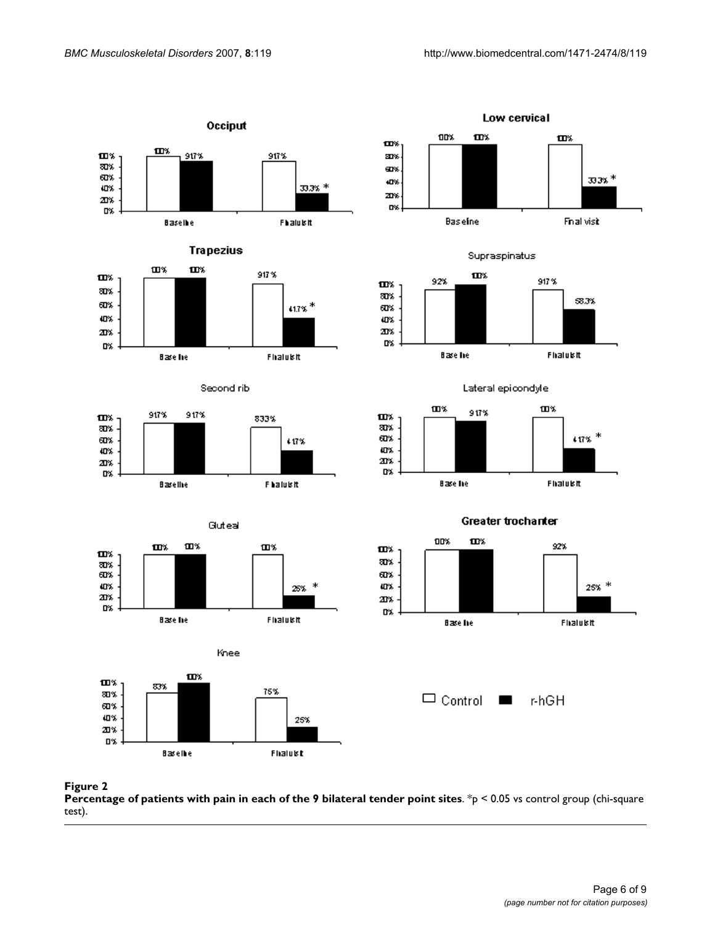

## **Figure 2**

**Percentage of patients with pain in each of the 9 bilateral tender point sites**. \*p < 0.05 vs control group (chi-square test).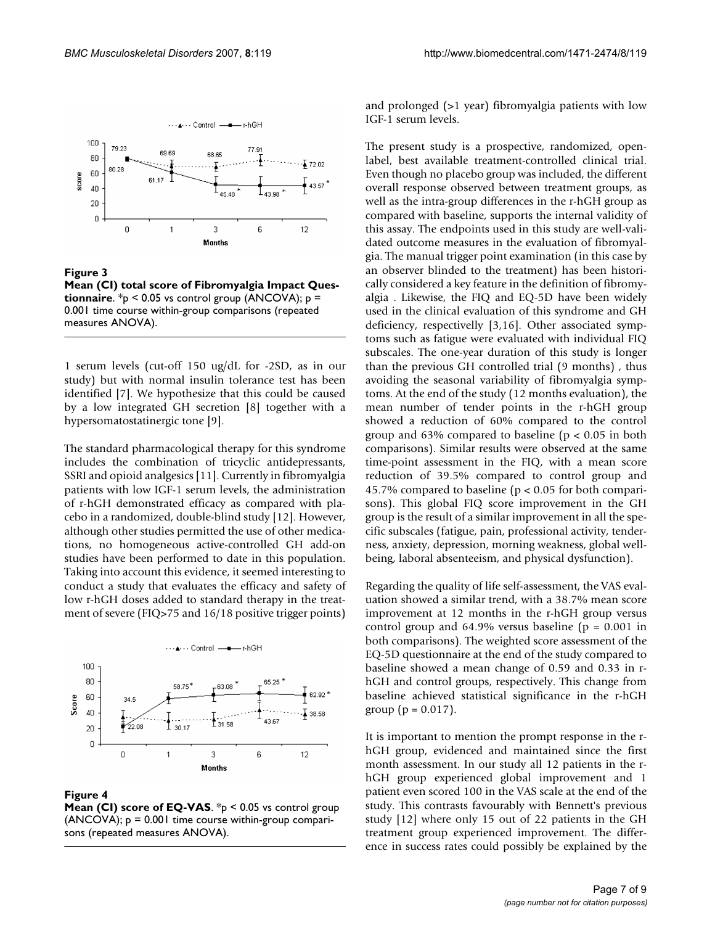![](_page_6_Figure_2.jpeg)

Figure 3 **Mean (CI) total score of Fibromyalgia Impact Questionnaire**.  $*_{p}$  < 0.05 vs control group (ANCOVA);  $p =$ 0.001 time course within-group comparisons (repeated measures ANOVA).

1 serum levels (cut-off 150 ug/dL for -2SD, as in our study) but with normal insulin tolerance test has been identified [7]. We hypothesize that this could be caused by a low integrated GH secretion [8] together with a hypersomatostatinergic tone [9].

The standard pharmacological therapy for this syndrome includes the combination of tricyclic antidepressants, SSRI and opioid analgesics [11]. Currently in fibromyalgia patients with low IGF-1 serum levels, the administration of r-hGH demonstrated efficacy as compared with placebo in a randomized, double-blind study [12]. However, although other studies permitted the use of other medications, no homogeneous active-controlled GH add-on studies have been performed to date in this population. Taking into account this evidence, it seemed interesting to conduct a study that evaluates the efficacy and safety of low r-hGH doses added to standard therapy in the treatment of severe (FIQ>75 and 16/18 positive trigger points)

![](_page_6_Figure_6.jpeg)

#### **Figure 4**

**Mean (CI) score of EQ-VAS**. \*p < 0.05 vs control group  $(ANCOVA)$ ;  $p = 0.001$  time course within-group comparisons (repeated measures ANOVA).

and prolonged (>1 year) fibromyalgia patients with low IGF-1 serum levels.

The present study is a prospective, randomized, openlabel, best available treatment-controlled clinical trial. Even though no placebo group was included, the different overall response observed between treatment groups, as well as the intra-group differences in the r-hGH group as compared with baseline, supports the internal validity of this assay. The endpoints used in this study are well-validated outcome measures in the evaluation of fibromyalgia. The manual trigger point examination (in this case by an observer blinded to the treatment) has been historically considered a key feature in the definition of fibromyalgia . Likewise, the FIQ and EQ-5D have been widely used in the clinical evaluation of this syndrome and GH deficiency, respectivelly [3,16]. Other associated symptoms such as fatigue were evaluated with individual FIQ subscales. The one-year duration of this study is longer than the previous GH controlled trial (9 months) , thus avoiding the seasonal variability of fibromyalgia symptoms. At the end of the study (12 months evaluation), the mean number of tender points in the r-hGH group showed a reduction of 60% compared to the control group and 63% compared to baseline ( $p < 0.05$  in both comparisons). Similar results were observed at the same time-point assessment in the FIQ, with a mean score reduction of 39.5% compared to control group and 45.7% compared to baseline (p < 0.05 for both comparisons). This global FIQ score improvement in the GH group is the result of a similar improvement in all the specific subscales (fatigue, pain, professional activity, tenderness, anxiety, depression, morning weakness, global wellbeing, laboral absenteeism, and physical dysfunction).

Regarding the quality of life self-assessment, the VAS evaluation showed a similar trend, with a 38.7% mean score improvement at 12 months in the r-hGH group versus control group and  $64.9\%$  versus baseline ( $p = 0.001$  in both comparisons). The weighted score assessment of the EQ-5D questionnaire at the end of the study compared to baseline showed a mean change of 0.59 and 0.33 in rhGH and control groups, respectively. This change from baseline achieved statistical significance in the r-hGH group ( $p = 0.017$ ).

It is important to mention the prompt response in the rhGH group, evidenced and maintained since the first month assessment. In our study all 12 patients in the rhGH group experienced global improvement and 1 patient even scored 100 in the VAS scale at the end of the study. This contrasts favourably with Bennett's previous study [12] where only 15 out of 22 patients in the GH treatment group experienced improvement. The difference in success rates could possibly be explained by the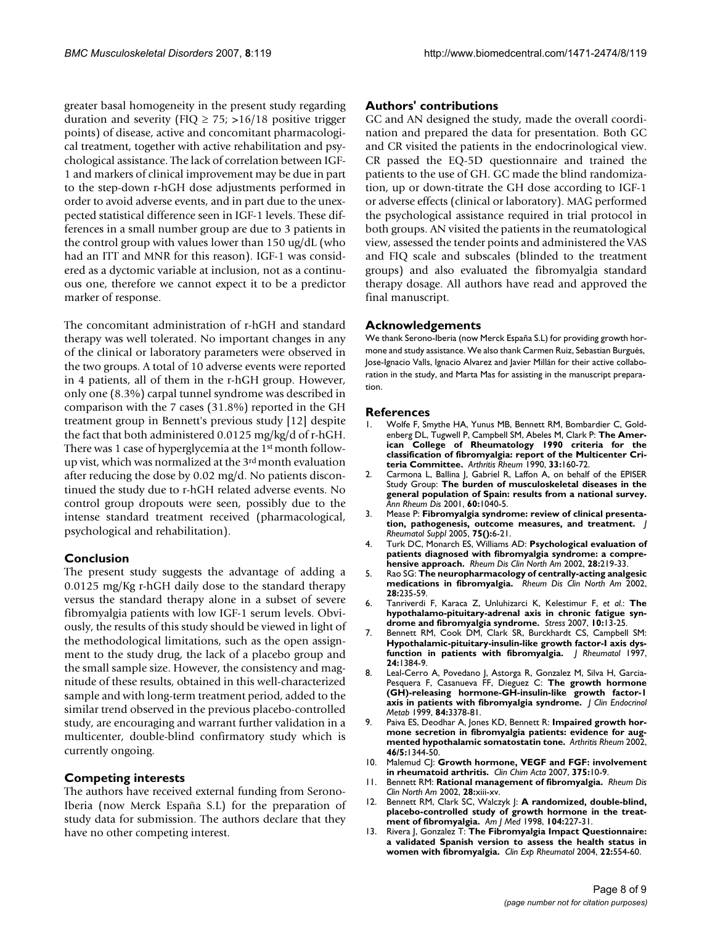greater basal homogeneity in the present study regarding duration and severity (FIQ  $\geq$  75; >16/18 positive trigger points) of disease, active and concomitant pharmacological treatment, together with active rehabilitation and psychological assistance. The lack of correlation between IGF-1 and markers of clinical improvement may be due in part to the step-down r-hGH dose adjustments performed in order to avoid adverse events, and in part due to the unexpected statistical difference seen in IGF-1 levels. These differences in a small number group are due to 3 patients in the control group with values lower than 150 ug/dL (who had an ITT and MNR for this reason). IGF-1 was considered as a dyctomic variable at inclusion, not as a continuous one, therefore we cannot expect it to be a predictor marker of response.

The concomitant administration of r-hGH and standard therapy was well tolerated. No important changes in any of the clinical or laboratory parameters were observed in the two groups. A total of 10 adverse events were reported in 4 patients, all of them in the r-hGH group. However, only one (8.3%) carpal tunnel syndrome was described in comparison with the 7 cases (31.8%) reported in the GH treatment group in Bennett's previous study [12] despite the fact that both administered 0.0125 mg/kg/d of r-hGH. There was 1 case of hyperglycemia at the 1<sup>st</sup> month followup vist, which was normalized at the 3rd month evaluation after reducing the dose by 0.02 mg/d. No patients discontinued the study due to r-hGH related adverse events. No control group dropouts were seen, possibly due to the intense standard treatment received (pharmacological, psychological and rehabilitation).

## **Conclusion**

The present study suggests the advantage of adding a 0.0125 mg/Kg r-hGH daily dose to the standard therapy versus the standard therapy alone in a subset of severe fibromyalgia patients with low IGF-1 serum levels. Obviously, the results of this study should be viewed in light of the methodological limitations, such as the open assignment to the study drug, the lack of a placebo group and the small sample size. However, the consistency and magnitude of these results, obtained in this well-characterized sample and with long-term treatment period, added to the similar trend observed in the previous placebo-controlled study, are encouraging and warrant further validation in a multicenter, double-blind confirmatory study which is currently ongoing.

## **Competing interests**

The authors have received external funding from Serono-Iberia (now Merck España S.L) for the preparation of study data for submission. The authors declare that they have no other competing interest.

#### **Authors' contributions**

GC and AN designed the study, made the overall coordination and prepared the data for presentation. Both GC and CR visited the patients in the endocrinological view. CR passed the EQ-5D questionnaire and trained the patients to the use of GH. GC made the blind randomization, up or down-titrate the GH dose according to IGF-1 or adverse effects (clinical or laboratory). MAG performed the psychological assistance required in trial protocol in both groups. AN visited the patients in the reumatological view, assessed the tender points and administered the VAS and FIQ scale and subscales (blinded to the treatment groups) and also evaluated the fibromyalgia standard therapy dosage. All authors have read and approved the final manuscript.

#### **Acknowledgements**

We thank Serono-Iberia (now Merck España S.L) for providing growth hormone and study assistance. We also thank Carmen Ruiz, Sebastian Burgués, Jose-Ignacio Valls, Ignacio Alvarez and Javier Millán for their active collaboration in the study, and Marta Mas for assisting in the manuscript preparation.

#### **References**

- 1. Wolfe F, Smythe HA, Yunus MB, Bennett RM, Bombardier C, Goldenberg DL, Tugwell P, Campbell SM, Abeles M, Clark P: **[The Amer](http://www.ncbi.nlm.nih.gov/entrez/query.fcgi?cmd=Retrieve&db=PubMed&dopt=Abstract&list_uids=2306288)ican College of Rheumatology 1990 criteria for the [classification of fibromyalgia: report of the Multicenter Cri](http://www.ncbi.nlm.nih.gov/entrez/query.fcgi?cmd=Retrieve&db=PubMed&dopt=Abstract&list_uids=2306288)[teria Committee.](http://www.ncbi.nlm.nih.gov/entrez/query.fcgi?cmd=Retrieve&db=PubMed&dopt=Abstract&list_uids=2306288)** *Arthritis Rheum* 1990, **33:**160-72.
- 2. Carmona L, Ballina J, Gabriel R, Laffon A, on behalf of the EPISER Study Group: **[The burden of musculoskeletal diseases in the](http://www.ncbi.nlm.nih.gov/entrez/query.fcgi?cmd=Retrieve&db=PubMed&dopt=Abstract&list_uids=11602475) [general population of Spain: results from a national survey.](http://www.ncbi.nlm.nih.gov/entrez/query.fcgi?cmd=Retrieve&db=PubMed&dopt=Abstract&list_uids=11602475)** *Ann Rheum Dis* 2001, **60:**1040-5.
- 3. Mease P: **[Fibromyalgia syndrome: review of clinical presenta](http://www.ncbi.nlm.nih.gov/entrez/query.fcgi?cmd=Retrieve&db=PubMed&dopt=Abstract&list_uids=16078356)[tion, pathogenesis, outcome measures, and treatment.](http://www.ncbi.nlm.nih.gov/entrez/query.fcgi?cmd=Retrieve&db=PubMed&dopt=Abstract&list_uids=16078356)** *J Rheumatol Suppl* 2005, **75():**6-21.
- 4. Turk DC, Monarch ES, Williams AD: **[Psychological evaluation of](http://www.ncbi.nlm.nih.gov/entrez/query.fcgi?cmd=Retrieve&db=PubMed&dopt=Abstract&list_uids=12122915) [patients diagnosed with fibromyalgia syndrome: a compre](http://www.ncbi.nlm.nih.gov/entrez/query.fcgi?cmd=Retrieve&db=PubMed&dopt=Abstract&list_uids=12122915)[hensive approach.](http://www.ncbi.nlm.nih.gov/entrez/query.fcgi?cmd=Retrieve&db=PubMed&dopt=Abstract&list_uids=12122915)** *Rheum Dis Clin North Am* 2002, **28:**219-33.
- 5. Rao SG: **[The neuropharmacology of centrally-acting analgesic](http://www.ncbi.nlm.nih.gov/entrez/query.fcgi?cmd=Retrieve&db=PubMed&dopt=Abstract&list_uids=12122916) [medications in fibromyalgia.](http://www.ncbi.nlm.nih.gov/entrez/query.fcgi?cmd=Retrieve&db=PubMed&dopt=Abstract&list_uids=12122916)** *Rheum Dis Clin North Am* 2002, **28:**235-59.
- 6. Tanriverdi F, Karaca Z, Unluhizarci K, Kelestimur F, *et al.*: **[The](http://www.ncbi.nlm.nih.gov/entrez/query.fcgi?cmd=Retrieve&db=PubMed&dopt=Abstract&list_uids=17454963) [hypothalamo-pituitary-adrenal axis in chronic fatigue syn](http://www.ncbi.nlm.nih.gov/entrez/query.fcgi?cmd=Retrieve&db=PubMed&dopt=Abstract&list_uids=17454963)[drome and fibromyalgia syndrome.](http://www.ncbi.nlm.nih.gov/entrez/query.fcgi?cmd=Retrieve&db=PubMed&dopt=Abstract&list_uids=17454963)** *Stress* 2007, **10:**13-25.
- 7. Bennett RM, Cook DM, Clark SR, Burckhardt CS, Campbell SM: **[Hypothalamic-pituitary-insulin-like growth factor-I axis dys](http://www.ncbi.nlm.nih.gov/entrez/query.fcgi?cmd=Retrieve&db=PubMed&dopt=Abstract&list_uids=9228141)[function in patients with fibromyalgia.](http://www.ncbi.nlm.nih.gov/entrez/query.fcgi?cmd=Retrieve&db=PubMed&dopt=Abstract&list_uids=9228141)** *J Rheumatol* 1997, **24:**1384-9.
- 8. Leal-Cerro A, Povedano J, Astorga R, Gonzalez M, Silva H, Garcia-Pesquera F, Casanueva FF, Dieguez C: **[The growth hormone](http://www.ncbi.nlm.nih.gov/entrez/query.fcgi?cmd=Retrieve&db=PubMed&dopt=Abstract&list_uids=10487713) [\(GH\)-releasing hormone-GH-insulin-like growth factor-1](http://www.ncbi.nlm.nih.gov/entrez/query.fcgi?cmd=Retrieve&db=PubMed&dopt=Abstract&list_uids=10487713) [axis in patients with fibromyalgia syndrome.](http://www.ncbi.nlm.nih.gov/entrez/query.fcgi?cmd=Retrieve&db=PubMed&dopt=Abstract&list_uids=10487713)** *J Clin Endocrinol Metab* 1999, **84:**3378-81.
- 9. Paiva ES, Deodhar A, Jones KD, Bennett R: **Impaired growth hormone secretion in fibromyalgia patients: evidence for augmented hypothalamic somatostatin tone.** *Arthritis Rheum* 2002, **46/5:**1344-50.
- 10. Malemud CJ: **[Growth hormone, VEGF and FGF: involvement](http://www.ncbi.nlm.nih.gov/entrez/query.fcgi?cmd=Retrieve&db=PubMed&dopt=Abstract&list_uids=16893535) [in rheumatoid arthritis.](http://www.ncbi.nlm.nih.gov/entrez/query.fcgi?cmd=Retrieve&db=PubMed&dopt=Abstract&list_uids=16893535)** *Clin Chim Acta* 2007, **375:**10-9.
- 11. Bennett RM: **[Rational management of fibromyalgia.](http://www.ncbi.nlm.nih.gov/entrez/query.fcgi?cmd=Retrieve&db=PubMed&dopt=Abstract&list_uids=12122930)** *Rheum Dis Clin North Am* 2002, **28:**xiii-xv.
- 12. Bennett RM, Clark SC, Walczyk J: [A randomized, double-blind,](http://www.ncbi.nlm.nih.gov/entrez/query.fcgi?cmd=Retrieve&db=PubMed&dopt=Abstract&list_uids=9552084) **[placebo-controlled study of growth hormone in the treat](http://www.ncbi.nlm.nih.gov/entrez/query.fcgi?cmd=Retrieve&db=PubMed&dopt=Abstract&list_uids=9552084)[ment of fibromyalgia.](http://www.ncbi.nlm.nih.gov/entrez/query.fcgi?cmd=Retrieve&db=PubMed&dopt=Abstract&list_uids=9552084)** *Am J Med* 1998, **104:**227-31.
- 13. Rivera J, Gonzalez T: **[The Fibromyalgia Impact Questionnaire:](http://www.ncbi.nlm.nih.gov/entrez/query.fcgi?cmd=Retrieve&db=PubMed&dopt=Abstract&list_uids=15485007) [a validated Spanish version to assess the health status in](http://www.ncbi.nlm.nih.gov/entrez/query.fcgi?cmd=Retrieve&db=PubMed&dopt=Abstract&list_uids=15485007) [women with fibromyalgia.](http://www.ncbi.nlm.nih.gov/entrez/query.fcgi?cmd=Retrieve&db=PubMed&dopt=Abstract&list_uids=15485007)** *Clin Exp Rheumatol* 2004, **22:**554-60.